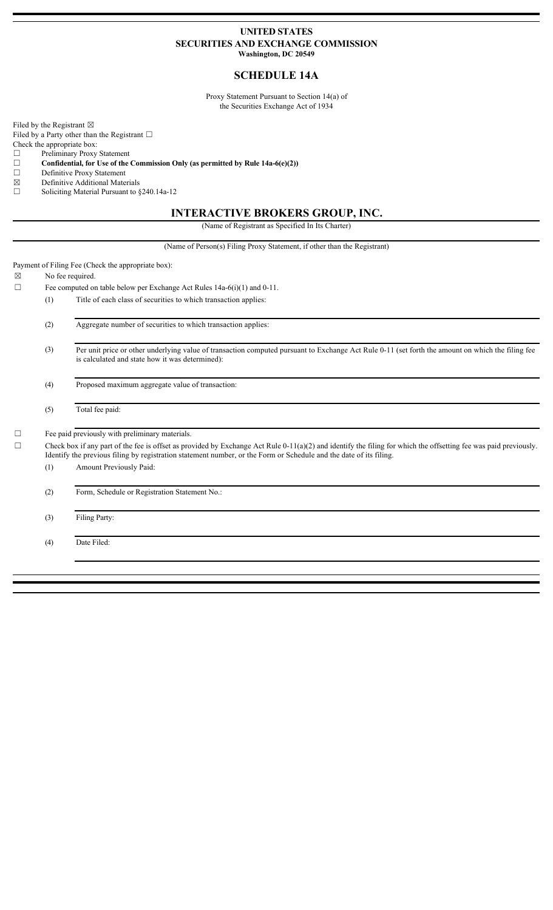### **UNITED STATES SECURITIES AND EXCHANGE COMMISSION Washington, DC 20549**

## **SCHEDULE 14A**

Proxy Statement Pursuant to Section 14(a) of the Securities Exchange Act of 1934

Filed by the Registrant  $\boxtimes$ 

Filed by a Party other than the Registrant  $\Box$ 

Check the appropriate box:

☐ Preliminary Proxy Statement

☐ **Confidential, for Use of the Commission Only (as permitted by Rule 14a-6(e)(2))**

☐ Definitive Proxy Statement

 $\boxtimes$  Definitive Additional Materials<br>  $\Box$  Soliciting Material Pursuant to 8

Soliciting Material Pursuant to §240.14a-12

### **INTERACTIVE BROKERS GROUP, INC.**

(Name of Registrant as Specified In Its Charter)

(Name of Person(s) Filing Proxy Statement, if other than the Registrant)

Payment of Filing Fee (Check the appropriate box):

 $\boxtimes$  No fee required.

 $\Box$  Fee computed on table below per Exchange Act Rules 14a-6(i)(1) and 0-11.

(1) Title of each class of securities to which transaction applies:

(2) Aggregate number of securities to which transaction applies:

(3) Per unit price or other underlying value of transaction computed pursuant to Exchange Act Rule 0-11 (set forth the amount on which the filing fee is calculated and state how it was determined):

(4) Proposed maximum aggregate value of transaction:

(5) Total fee paid:

☐ Fee paid previously with preliminary materials.

 $\Box$  Check box if any part of the fee is offset as provided by Exchange Act Rule 0-11(a)(2) and identify the filing for which the offsetting fee was paid previously. Identify the previous filing by registration statement number, or the Form or Schedule and the date of its filing.

(1) Amount Previously Paid:

(2) Form, Schedule or Registration Statement No.:

(3) Filing Party:

(4) Date Filed: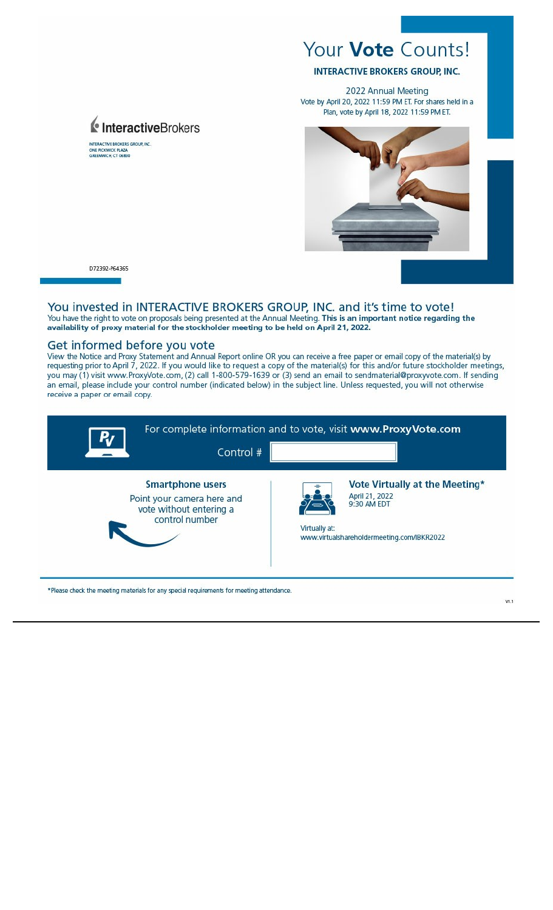# Your Vote Counts!

**INTERACTIVE BROKERS GROUP. INC.** 

2022 Annual Meeting Vote by April 20, 2022 11:59 PM ET. For shares held in a Plan, vote by April 18, 2022 11:59 PM ET.



D72392-P64365

#### You invested in INTERACTIVE BROKERS GROUP, INC. and it's time to vote! You have the right to vote on proposals being presented at the Annual Meeting. This is an important notice regarding the availability of proxy material for the stockholder meeting to be held on April 21, 2022.

### Get informed before you vote

InteractiveBrokers

INTERACTIVE BROKERS GROUP, INC.<br>ONE PICKWICK PLAZA<br>GREENWICH, CT 06830

View the Notice and Proxy Statement and Annual Report online OR you can receive a free paper or email copy of the material(s) by<br>requesting prior to April 7, 2022. If you would like to request a copy of the material(s) for an email, please include your control number (indicated below) in the subject line. Unless requested, you will not otherwise receive a paper or email copy.

| RT | Control #                                                                                          |               | For complete information and to vote, visit www.ProxyVote.com                                                 |
|----|----------------------------------------------------------------------------------------------------|---------------|---------------------------------------------------------------------------------------------------------------|
|    | <b>Smartphone users</b><br>Point your camera here and<br>vote without entering a<br>control number | Virtually at: | Vote Virtually at the Meeting*<br>April 21, 2022<br>9:30 AM EDT<br>www.virtualshareholdermeeting.com/IBKR2022 |

\*Please check the meeting materials for any special requirements for meeting attendance.

VL1